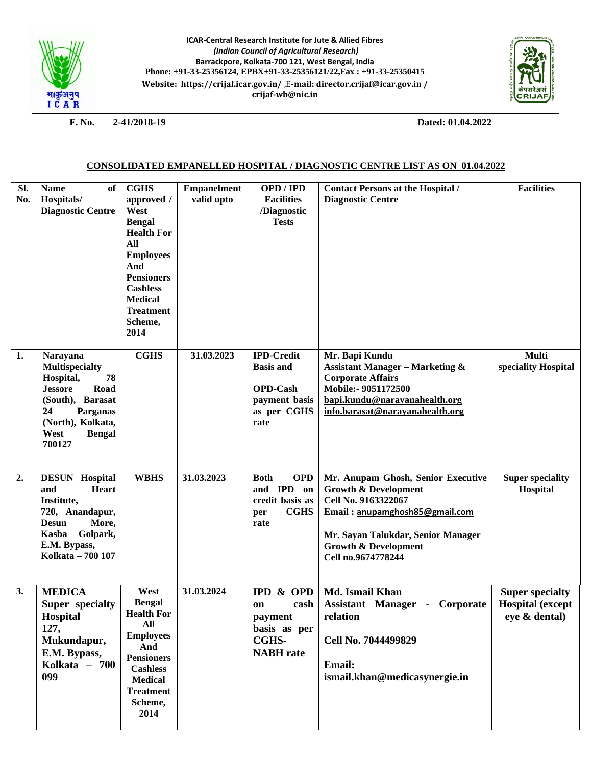

**ICAR-Central Research Institute for Jute & Allied Fibres** *(Indian Council of Agricultural Research)* **Barrackpore, Kolkata-700 121, West Bengal, India Phone: +91-33-25356124, EPBX+91-33-25356121/22,Fax : +91-33-25350415 Website:<https://crijaf.icar.gov.in/>** ,E**-mail: director.crijaf@icar.gov.in / [crijaf-wb@nic.in](mailto:crijaf-wb@nic.in)**



**F. No. 2-41/2018-19 Dated: 01.04.2022**

## **CONSOLIDATED EMPANELLED HOSPITAL / DIAGNOSTIC CENTRE LIST AS ON 01.04.2022**

| Sl.<br>No. | of<br><b>Name</b><br>Hospitals/<br><b>Diagnostic Centre</b>                                                                                                           | <b>CGHS</b><br>approved /<br>West<br><b>Bengal</b><br><b>Health For</b><br>All<br><b>Employees</b><br>And<br><b>Pensioners</b><br><b>Cashless</b><br><b>Medical</b><br><b>Treatment</b><br>Scheme,<br>2014 | <b>Empanelment</b><br>valid upto | OPD / IPD<br><b>Facilities</b><br>/Diagnostic<br><b>Tests</b>                                    | <b>Contact Persons at the Hospital /</b><br><b>Diagnostic Centre</b>                                                                                                                                                          | <b>Facilities</b>                                                  |
|------------|-----------------------------------------------------------------------------------------------------------------------------------------------------------------------|------------------------------------------------------------------------------------------------------------------------------------------------------------------------------------------------------------|----------------------------------|--------------------------------------------------------------------------------------------------|-------------------------------------------------------------------------------------------------------------------------------------------------------------------------------------------------------------------------------|--------------------------------------------------------------------|
| 1.         | Narayana<br>Multispecialty<br>Hospital,<br>78<br>Road<br><b>Jessore</b><br>(South), Barasat<br>Parganas<br>24<br>(North), Kolkata,<br>West<br><b>Bengal</b><br>700127 | <b>CGHS</b>                                                                                                                                                                                                | 31.03.2023                       | <b>IPD-Credit</b><br><b>Basis and</b><br><b>OPD-Cash</b><br>payment basis<br>as per CGHS<br>rate | Mr. Bapi Kundu<br><b>Assistant Manager - Marketing &amp;</b><br><b>Corporate Affairs</b><br>Mobile:- 9051172500<br>bapi.kundu@narayanahealth.org<br>info.barasat@narayanahealth.org                                           | <b>Multi</b><br>speciality Hospital                                |
| 2.         | <b>DESUN Hospital</b><br>Heart<br>and<br>Institute,<br>720, Anandapur,<br>More,<br><b>Desun</b><br>Kasba<br>Golpark,<br>E.M. Bypass,<br>Kolkata - 700 107             | <b>WBHS</b>                                                                                                                                                                                                | 31.03.2023                       | <b>OPD</b><br><b>Both</b><br>and IPD on<br>credit basis as<br><b>CGHS</b><br>per<br>rate         | Mr. Anupam Ghosh, Senior Executive<br><b>Growth &amp; Development</b><br>Cell No. 9163322067<br>Email: anupamghosh85@gmail.com<br>Mr. Sayan Talukdar, Senior Manager<br><b>Growth &amp; Development</b><br>Cell no.9674778244 | <b>Super speciality</b><br>Hospital                                |
| 3.         | <b>MEDICA</b><br>Super specialty<br>Hospital<br>127,<br>Mukundapur,<br>E.M. Bypass,<br>Kolkata - 700<br>099                                                           | West<br><b>Bengal</b><br><b>Health For</b><br>All<br><b>Employees</b><br>And<br><b>Pensioners</b><br><b>Cashless</b><br><b>Medical</b><br><b>Treatment</b><br>Scheme,<br>2014                              | 31.03.2024                       | <b>IPD &amp; OPD</b><br>cash<br>on<br>payment<br>basis as per<br>CGHS-<br><b>NABH</b> rate       | Md. Ismail Khan<br><b>Assistant Manager - Corporate</b><br>relation<br>Cell No. 7044499829<br>Email:<br>ismail.khan@medicasynergie.in                                                                                         | <b>Super specialty</b><br><b>Hospital</b> (except<br>eye & dental) |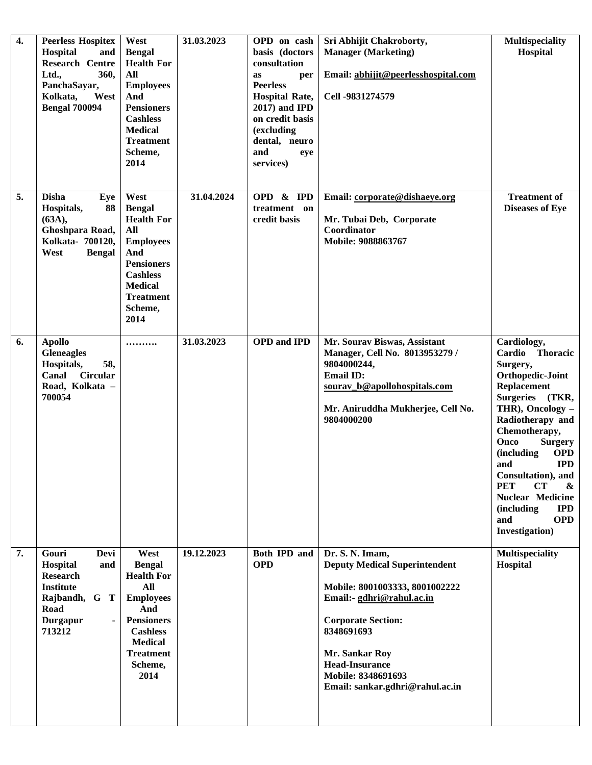| 4. | <b>Peerless Hospitex</b><br>Hospital<br>and<br><b>Research Centre</b><br>Ltd.,<br>360,<br>PanchaSayar,<br>Kolkata,<br>West<br><b>Bengal 700094</b> | West<br><b>Bengal</b><br><b>Health For</b><br>All<br><b>Employees</b><br>And<br><b>Pensioners</b><br><b>Cashless</b><br><b>Medical</b><br><b>Treatment</b><br>Scheme,<br>2014 | 31.03.2023 | OPD on cash<br>basis (doctors<br>consultation<br>per<br><b>as</b><br><b>Peerless</b><br><b>Hospital Rate,</b><br>2017) and IPD<br>on credit basis<br>(excluding<br>dental, neuro<br>and<br>eye<br>services) | Sri Abhijit Chakroborty,<br><b>Manager (Marketing)</b><br>Email: abhijit@peerlesshospital.com<br>Cell -9831274579                                                                                                                                                     | <b>Multispeciality</b><br>Hospital                                                                                                                                                                                                                                                                                                                                                                         |
|----|----------------------------------------------------------------------------------------------------------------------------------------------------|-------------------------------------------------------------------------------------------------------------------------------------------------------------------------------|------------|-------------------------------------------------------------------------------------------------------------------------------------------------------------------------------------------------------------|-----------------------------------------------------------------------------------------------------------------------------------------------------------------------------------------------------------------------------------------------------------------------|------------------------------------------------------------------------------------------------------------------------------------------------------------------------------------------------------------------------------------------------------------------------------------------------------------------------------------------------------------------------------------------------------------|
| 5. | <b>Disha</b><br>Eye<br>Hospitals,<br>88<br>(63A),<br>Ghoshpara Road,<br>Kolkata- 700120,<br>West<br><b>Bengal</b>                                  | West<br><b>Bengal</b><br><b>Health For</b><br>All<br><b>Employees</b><br>And<br><b>Pensioners</b><br><b>Cashless</b><br><b>Medical</b><br><b>Treatment</b><br>Scheme,<br>2014 | 31.04.2024 | OPD & IPD<br>treatment on<br>credit basis                                                                                                                                                                   | Email: corporate@dishaeye.org<br>Mr. Tubai Deb, Corporate<br>Coordinator<br>Mobile: 9088863767                                                                                                                                                                        | <b>Treatment of</b><br><b>Diseases of Eye</b>                                                                                                                                                                                                                                                                                                                                                              |
| 6. | <b>Apollo</b><br><b>Gleneagles</b><br>Hospitals,<br>58,<br><b>Circular</b><br>Canal<br>Road, Kolkata -<br>700054                                   |                                                                                                                                                                               | 31.03.2023 | <b>OPD</b> and <b>IPD</b>                                                                                                                                                                                   | Mr. Sourav Biswas, Assistant<br>Manager, Cell No. 8013953279 /<br>9804000244,<br><b>Email ID:</b><br>sourav b@apollohospitals.com<br>Mr. Aniruddha Mukherjee, Cell No.<br>9804000200                                                                                  | Cardiology,<br>Cardio Thoracic<br>Surgery,<br>Orthopedic-Joint<br><b>Replacement</b><br><b>Surgeries</b><br>(TKR,<br>THR), Oncology -<br>Radiotherapy and<br>Chemotherapy,<br>Onco<br><b>Surgery</b><br><b>OPD</b><br>(including<br>and<br><b>IPD</b><br>Consultation), and<br><b>PET</b><br>CT<br>&<br><b>Nuclear Medicine</b><br><i>(including)</i><br><b>IPD</b><br><b>OPD</b><br>and<br>Investigation) |
| 7. | Gouri<br>Devi<br>Hospital<br>and<br><b>Research</b><br><b>Institute</b><br>Rajbandh, G T<br>Road<br><b>Durgapur</b><br>$\blacksquare$<br>713212    | West<br><b>Bengal</b><br><b>Health For</b><br>All<br><b>Employees</b><br>And<br><b>Pensioners</b><br><b>Cashless</b><br><b>Medical</b><br><b>Treatment</b><br>Scheme,<br>2014 | 19.12.2023 | <b>Both IPD and</b><br><b>OPD</b>                                                                                                                                                                           | Dr. S. N. Imam,<br><b>Deputy Medical Superintendent</b><br>Mobile: 8001003333, 8001002222<br>Email:- gdhri@rahul.ac.in<br><b>Corporate Section:</b><br>8348691693<br>Mr. Sankar Roy<br><b>Head-Insurance</b><br>Mobile: 8348691693<br>Email: sankar.gdhri@rahul.ac.in | <b>Multispeciality</b><br>Hospital                                                                                                                                                                                                                                                                                                                                                                         |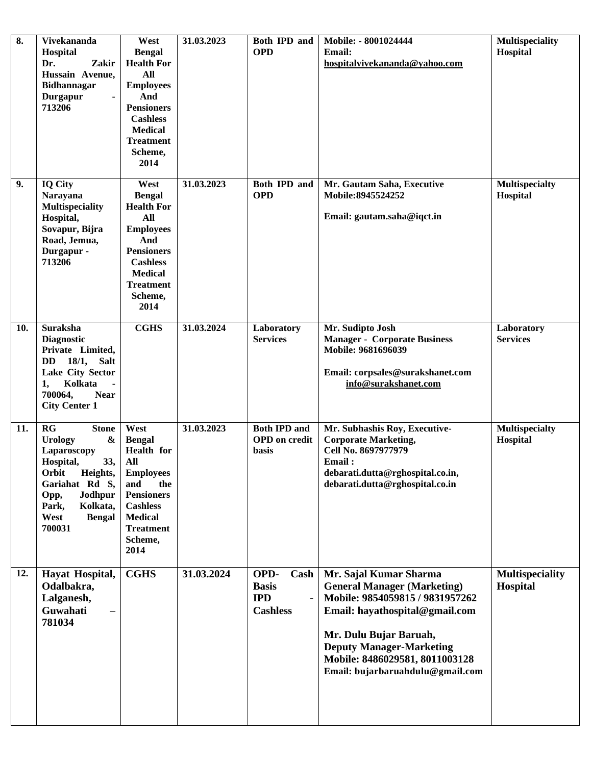| 8.  | Vivekananda<br>Hospital<br>Dr.<br>Zakir<br>Hussain Avenue,<br>Bidhannagar<br>Durgapur<br>713206                                                                                                                         | West<br><b>Bengal</b><br><b>Health For</b><br>All<br><b>Employees</b><br>And<br><b>Pensioners</b><br><b>Cashless</b><br><b>Medical</b><br><b>Treatment</b><br>Scheme,<br>2014        | 31.03.2023 | Both IPD and<br><b>OPD</b>                                    | Mobile: - 8001024444<br>Email:<br>hospitalvivekananda@yahoo.com                                                                                                                                                                                                      | Multispeciality<br>Hospital        |
|-----|-------------------------------------------------------------------------------------------------------------------------------------------------------------------------------------------------------------------------|--------------------------------------------------------------------------------------------------------------------------------------------------------------------------------------|------------|---------------------------------------------------------------|----------------------------------------------------------------------------------------------------------------------------------------------------------------------------------------------------------------------------------------------------------------------|------------------------------------|
| 9.  | <b>IQ City</b><br>Narayana<br><b>Multispeciality</b><br>Hospital,<br>Sovapur, Bijra<br>Road, Jemua,<br>Durgapur -<br>713206                                                                                             | West<br><b>Bengal</b><br><b>Health For</b><br>All<br><b>Employees</b><br>And<br><b>Pensioners</b><br><b>Cashless</b><br><b>Medical</b><br><b>Treatment</b><br>Scheme,<br>2014        | 31.03.2023 | Both IPD and<br><b>OPD</b>                                    | Mr. Gautam Saha, Executive<br>Mobile: 8945524252<br>Email: gautam.saha@iqct.in                                                                                                                                                                                       | <b>Multispecialty</b><br>Hospital  |
| 10. | <b>Suraksha</b><br><b>Diagnostic</b><br>Private Limited,<br>18/1, Salt<br><b>DD</b><br>Lake City Sector<br>Kolkata<br>1,<br>700064,<br><b>Near</b><br><b>City Center 1</b>                                              | <b>CGHS</b>                                                                                                                                                                          | 31.03.2024 | Laboratory<br><b>Services</b>                                 | Mr. Sudipto Josh<br><b>Manager - Corporate Business</b><br>Mobile: 9681696039<br>Email: corpsales@surakshanet.com<br>info@surakshanet.com                                                                                                                            | Laboratory<br><b>Services</b>      |
| 11. | $_{\rm RG}$<br><b>Stone</b><br><b>Urology</b><br>$\boldsymbol{\&}$<br>Laparoscopy<br>Hospital,<br>33,<br>Orbit<br>Heights,<br>Gariahat Rd S,<br>Jodhpur<br>Opp,<br>Park,<br>Kolkata,<br>West<br><b>Bengal</b><br>700031 | West<br><b>Bengal</b><br><b>Health</b> for<br>All<br><b>Employees</b><br>and<br>the<br><b>Pensioners</b><br><b>Cashless</b><br><b>Medical</b><br><b>Treatment</b><br>Scheme,<br>2014 | 31.03.2023 | <b>Both IPD and</b><br><b>OPD</b> on credit<br>basis          | Mr. Subhashis Roy, Executive-<br><b>Corporate Marketing,</b><br>Cell No. 8697977979<br>Email:<br>debarati.dutta@rghospital.co.in,<br>debarati.dutta@rghospital.co.in                                                                                                 | <b>Multispecialty</b><br>Hospital  |
| 12. | Hayat Hospital,<br>Odalbakra,<br>Lalganesh,<br>Guwahati<br>781034                                                                                                                                                       | <b>CGHS</b>                                                                                                                                                                          | 31.03.2024 | OPD-<br>Cash<br><b>Basis</b><br><b>IPD</b><br><b>Cashless</b> | Mr. Sajal Kumar Sharma<br><b>General Manager (Marketing)</b><br>Mobile: 9854059815 / 9831957262<br>Email: hayathospital@gmail.com<br>Mr. Dulu Bujar Baruah,<br><b>Deputy Manager-Marketing</b><br>Mobile: 8486029581, 8011003128<br>Email: bujarbaruahdulu@gmail.com | <b>Multispeciality</b><br>Hospital |